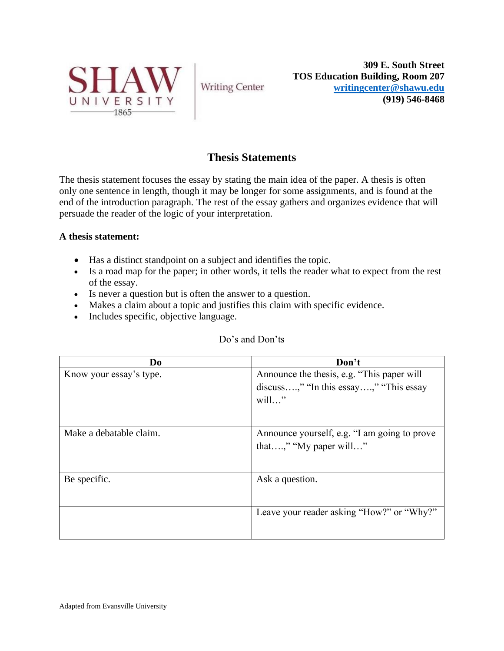

**Writing Center** 

**309 E. South Street TOS Education Building, Room 207 [writingcenter@shawu.edu](mailto:writingcenter@shawu.edu) (919) 546-8468**

# **Thesis Statements**

The thesis statement focuses the essay by stating the main idea of the paper. A thesis is often only one sentence in length, though it may be longer for some assignments, and is found at the end of the introduction paragraph. The rest of the essay gathers and organizes evidence that will persuade the reader of the logic of your interpretation.

# **A thesis statement:**

- Has a distinct standpoint on a subject and identifies the topic.
- Is a road map for the paper; in other words, it tells the reader what to expect from the rest of the essay.
- Is never a question but is often the answer to a question.
- Makes a claim about a topic and justifies this claim with specific evidence.
- Includes specific, objective language.

| Do                      | Don't                                        |
|-------------------------|----------------------------------------------|
| Know your essay's type. | Announce the thesis, e.g. "This paper will   |
|                         | discuss," "In this essay," "This essay       |
|                         | $will$ "                                     |
|                         |                                              |
|                         |                                              |
| Make a debatable claim. | Announce yourself, e.g. "I am going to prove |
|                         | that," "My paper will"                       |
|                         |                                              |
| Be specific.            | Ask a question.                              |
|                         |                                              |
|                         |                                              |
|                         | Leave your reader asking "How?" or "Why?"    |
|                         |                                              |
|                         |                                              |

# Do's and Don'ts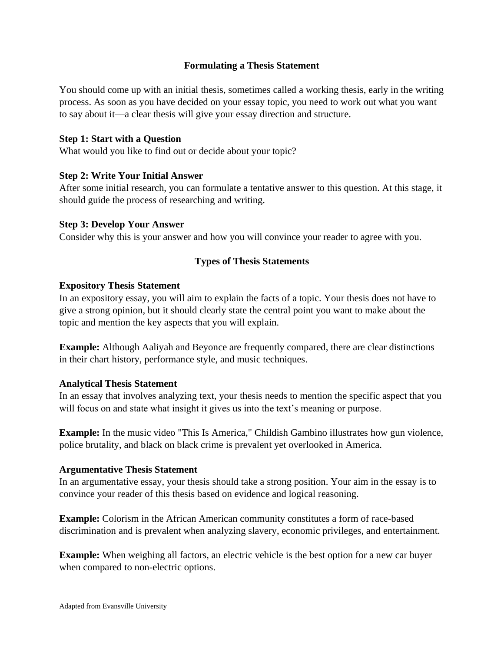# **Formulating a Thesis Statement**

You should come up with an initial thesis, sometimes called a working thesis, early in the writing process. As soon as you have decided on your essay topic, you need to work out what you want to say about it—a clear thesis will give your essay direction and structure.

#### **Step 1: Start with a Question**

What would you like to find out or decide about your topic?

#### **Step 2: Write Your Initial Answer**

After some initial research, you can formulate a tentative answer to this question. At this stage, it should guide the process of researching and writing.

#### **Step 3: Develop Your Answer**

Consider why this is your answer and how you will convince your reader to agree with you.

# **Types of Thesis Statements**

#### **Expository Thesis Statement**

In an expository essay, you will aim to explain the facts of a topic. Your thesis does not have to give a strong opinion, but it should clearly state the central point you want to make about the topic and mention the key aspects that you will explain.

**Example:** Although Aaliyah and Beyonce are frequently compared, there are clear distinctions in their chart history, performance style, and music techniques.

# **Analytical Thesis Statement**

In an essay that involves analyzing text, your thesis needs to mention the specific aspect that you will focus on and state what insight it gives us into the text's meaning or purpose.

**Example:** In the music video "This Is America," Childish Gambino illustrates how gun violence, police brutality, and black on black crime is prevalent yet overlooked in America.

# **Argumentative Thesis Statement**

In an argumentative essay, your thesis should take a strong position. Your aim in the essay is to convince your reader of this thesis based on evidence and logical reasoning.

**Example:** Colorism in the African American community constitutes a form of race-based discrimination and is prevalent when analyzing slavery, economic privileges, and entertainment.

**Example:** When weighing all factors, an electric vehicle is the best option for a new car buyer when compared to non-electric options.